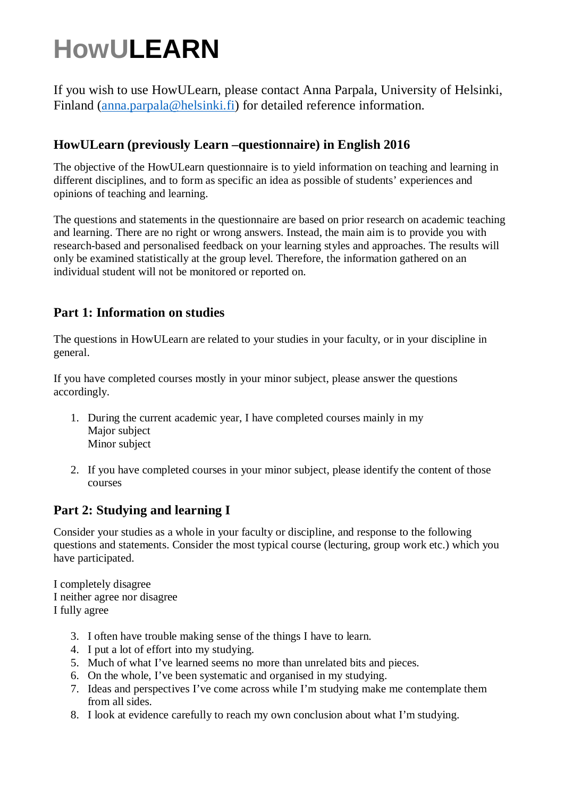If you wish to use HowULearn, please contact Anna Parpala, University of Helsinki, Finland (anna.parpala@helsinki.fi) for detailed reference information.

## **HowULearn (previously Learn –questionnaire) in English 2016**

The objective of the HowULearn questionnaire is to yield information on teaching and learning in different disciplines, and to form as specific an idea as possible of students' experiences and opinions of teaching and learning.

The questions and statements in the questionnaire are based on prior research on academic teaching and learning. There are no right or wrong answers. Instead, the main aim is to provide you with research-based and personalised feedback on your learning styles and approaches. The results will only be examined statistically at the group level. Therefore, the information gathered on an individual student will not be monitored or reported on.

## **Part 1: Information on studies**

The questions in HowULearn are related to your studies in your faculty, or in your discipline in general.

If you have completed courses mostly in your minor subject, please answer the questions accordingly.

- 1. During the current academic year, I have completed courses mainly in my Major subject Minor subject
- 2. If you have completed courses in your minor subject, please identify the content of those courses

## **Part 2: Studying and learning I**

Consider your studies as a whole in your faculty or discipline, and response to the following questions and statements. Consider the most typical course (lecturing, group work etc.) which you have participated.

I completely disagree I neither agree nor disagree I fully agree

- 3. I often have trouble making sense of the things I have to learn.
- 4. I put a lot of effort into my studying.
- 5. Much of what I've learned seems no more than unrelated bits and pieces.
- 6. On the whole, I've been systematic and organised in my studying.
- 7. Ideas and perspectives I've come across while I'm studying make me contemplate them from all sides.
- 8. I look at evidence carefully to reach my own conclusion about what I'm studying.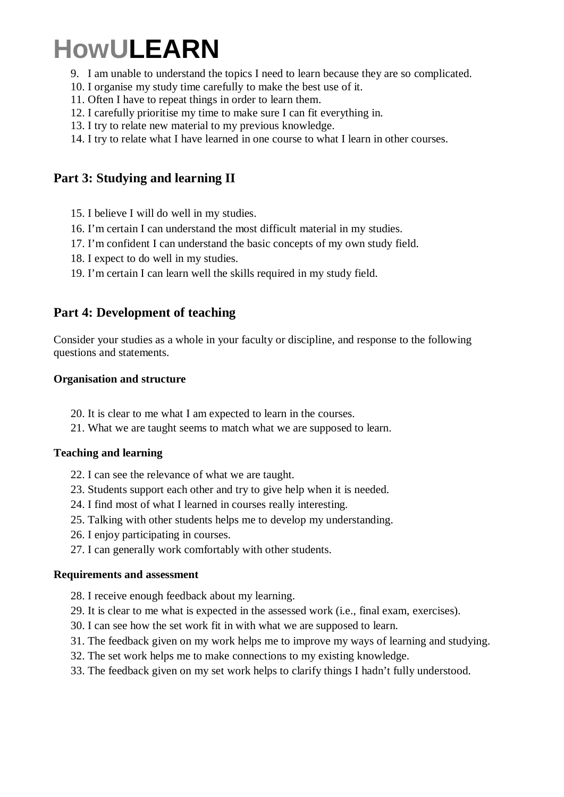- 9. I am unable to understand the topics I need to learn because they are so complicated.
- 10. I organise my study time carefully to make the best use of it.
- 11. Often I have to repeat things in order to learn them.
- 12. I carefully prioritise my time to make sure I can fit everything in.
- 13. I try to relate new material to my previous knowledge.
- 14. I try to relate what I have learned in one course to what I learn in other courses.

## **Part 3: Studying and learning II**

- 15. I believe I will do well in my studies.
- 16. I'm certain I can understand the most difficult material in my studies.
- 17. I'm confident I can understand the basic concepts of my own study field.
- 18. I expect to do well in my studies.
- 19. I'm certain I can learn well the skills required in my study field.

### **Part 4: Development of teaching**

Consider your studies as a whole in your faculty or discipline, and response to the following questions and statements.

#### **Organisation and structure**

- 20. It is clear to me what I am expected to learn in the courses.
- 21. What we are taught seems to match what we are supposed to learn.

#### **Teaching and learning**

- 22. I can see the relevance of what we are taught.
- 23. Students support each other and try to give help when it is needed.
- 24. I find most of what I learned in courses really interesting.
- 25. Talking with other students helps me to develop my understanding.
- 26. I enjoy participating in courses.
- 27. I can generally work comfortably with other students.

#### **Requirements and assessment**

- 28. I receive enough feedback about my learning.
- 29. It is clear to me what is expected in the assessed work (i.e., final exam, exercises).
- 30. I can see how the set work fit in with what we are supposed to learn.
- 31. The feedback given on my work helps me to improve my ways of learning and studying.
- 32. The set work helps me to make connections to my existing knowledge.
- 33. The feedback given on my set work helps to clarify things I hadn't fully understood.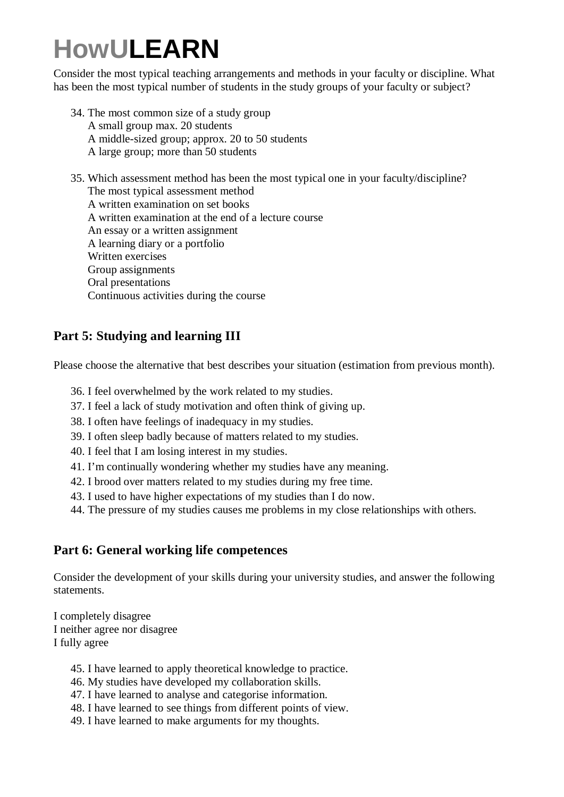Consider the most typical teaching arrangements and methods in your faculty or discipline. What has been the most typical number of students in the study groups of your faculty or subject?

34. The most common size of a study group A small group max. 20 students A middle-sized group; approx. 20 to 50 students A large group; more than 50 students

35. Which assessment method has been the most typical one in your faculty/discipline? The most typical assessment method A written examination on set books A written examination at the end of a lecture course An essay or a written assignment A learning diary or a portfolio Written exercises Group assignments Oral presentations Continuous activities during the course

## **Part 5: Studying and learning III**

Please choose the alternative that best describes your situation (estimation from previous month).

- 36. I feel overwhelmed by the work related to my studies.
- 37. I feel a lack of study motivation and often think of giving up.
- 38. I often have feelings of inadequacy in my studies.
- 39. I often sleep badly because of matters related to my studies.
- 40. I feel that I am losing interest in my studies.
- 41. I'm continually wondering whether my studies have any meaning.
- 42. I brood over matters related to my studies during my free time.
- 43. I used to have higher expectations of my studies than I do now.
- 44. The pressure of my studies causes me problems in my close relationships with others.

### **Part 6: General working life competences**

Consider the development of your skills during your university studies, and answer the following statements.

I completely disagree I neither agree nor disagree I fully agree

- 45. I have learned to apply theoretical knowledge to practice.
- 46. My studies have developed my collaboration skills.
- 47. I have learned to analyse and categorise information.
- 48. I have learned to see things from different points of view.
- 49. I have learned to make arguments for my thoughts.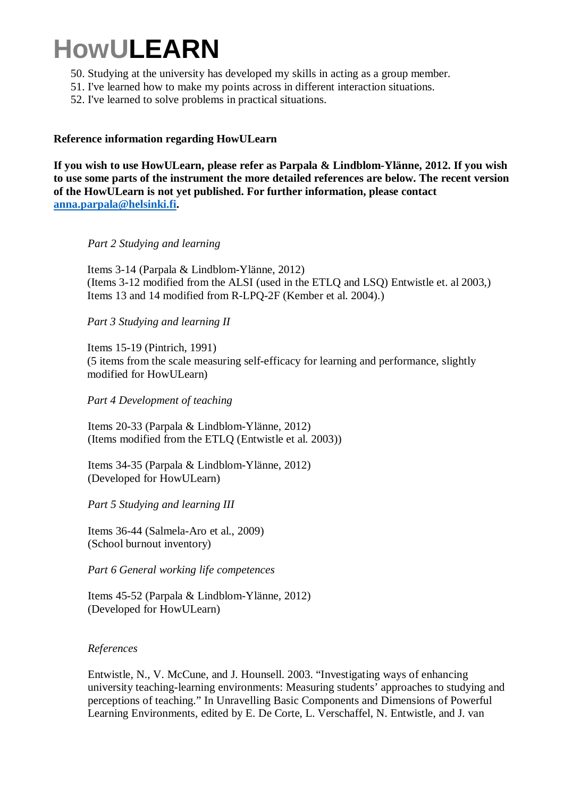- 50. Studying at the university has developed my skills in acting as a group member.
- 51. I've learned how to make my points across in different interaction situations.
- 52. I've learned to solve problems in practical situations.

#### **Reference information regarding HowULearn**

**If you wish to use HowULearn, please refer as Parpala & Lindblom-Ylänne, 2012. If you wish to use some parts of the instrument the more detailed references are below. The recent version of the HowULearn is not yet published. For further information, please contact anna.parpala@helsinki.fi.**

#### *Part 2 Studying and learning*

Items 3-14 (Parpala & Lindblom-Ylänne, 2012) (Items 3-12 modified from the ALSI (used in the ETLQ and LSQ) Entwistle et. al 2003,) Items 13 and 14 modified from R-LPQ-2F (Kember et al. 2004).)

*Part 3 Studying and learning II*

Items 15-19 (Pintrich, 1991) (5 items from the scale measuring self-efficacy for learning and performance, slightly modified for HowULearn)

*Part 4 Development of teaching*

Items 20-33 (Parpala & Lindblom-Ylänne, 2012) (Items modified from the ETLQ (Entwistle et al. 2003))

Items 34-35 (Parpala & Lindblom-Ylänne, 2012) (Developed for HowULearn)

*Part 5 Studying and learning III*

Items 36-44 (Salmela-Aro et al., 2009) (School burnout inventory)

*Part 6 General working life competences*

Items 45-52 (Parpala & Lindblom-Ylänne, 2012) (Developed for HowULearn)

#### *References*

Entwistle, N., V. McCune, and J. Hounsell. 2003. "Investigating ways of enhancing university teaching-learning environments: Measuring students' approaches to studying and perceptions of teaching." In Unravelling Basic Components and Dimensions of Powerful Learning Environments, edited by E. De Corte, L. Verschaffel, N. Entwistle, and J. van